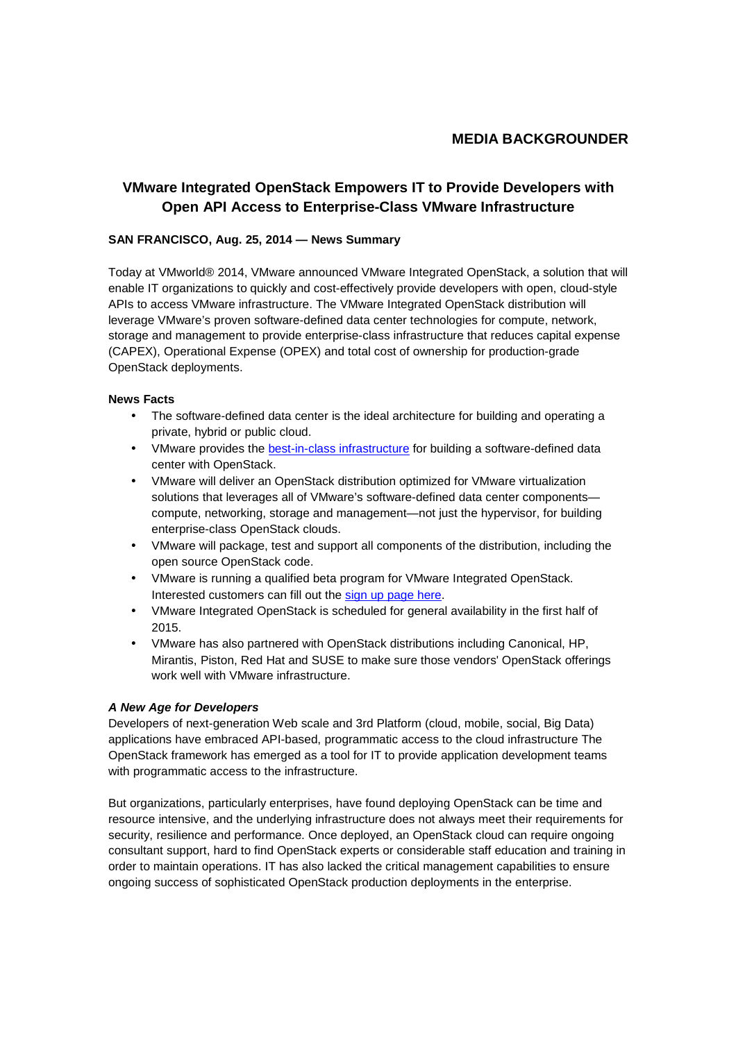# **MEDIA BACKGROUNDER**

# **VMware Integrated OpenStack Empowers IT to Provide Developers with Open API Access to Enterprise-Class VMware Infrastructure**

## **SAN FRANCISCO, Aug. 25, 2014 — News Summary**

Today at VMworld® 2014, VMware announced VMware Integrated OpenStack, a solution that will enable IT organizations to quickly and cost-effectively provide developers with open, cloud-style APIs to access VMware infrastructure. The VMware Integrated OpenStack distribution will leverage VMware's proven software-defined data center technologies for compute, network, storage and management to provide enterprise-class infrastructure that reduces capital expense (CAPEX), Operational Expense (OPEX) and total cost of ownership for production-grade OpenStack deployments.

### **News Facts**

- The software-defined data center is the ideal architecture for building and operating a private, hybrid or public cloud.
- VMware provides the best-in-class infrastructure for building a software-defined data center with OpenStack.
- VMware will deliver an OpenStack distribution optimized for VMware virtualization solutions that leverages all of VMware's software-defined data center components compute, networking, storage and management—not just the hypervisor, for building enterprise-class OpenStack clouds.
- VMware will package, test and support all components of the distribution, including the open source OpenStack code.
- VMware is running a qualified beta program for VMware Integrated OpenStack. Interested customers can fill out the sign up page here.
- VMware Integrated OpenStack is scheduled for general availability in the first half of 2015.
- VMware has also partnered with OpenStack distributions including Canonical, HP, Mirantis, Piston, Red Hat and SUSE to make sure those vendors' OpenStack offerings work well with VMware infrastructure.

### **A New Age for Developers**

Developers of next-generation Web scale and 3rd Platform (cloud, mobile, social, Big Data) applications have embraced API-based, programmatic access to the cloud infrastructure The OpenStack framework has emerged as a tool for IT to provide application development teams with programmatic access to the infrastructure.

But organizations, particularly enterprises, have found deploying OpenStack can be time and resource intensive, and the underlying infrastructure does not always meet their requirements for security, resilience and performance. Once deployed, an OpenStack cloud can require ongoing consultant support, hard to find OpenStack experts or considerable staff education and training in order to maintain operations. IT has also lacked the critical management capabilities to ensure ongoing success of sophisticated OpenStack production deployments in the enterprise.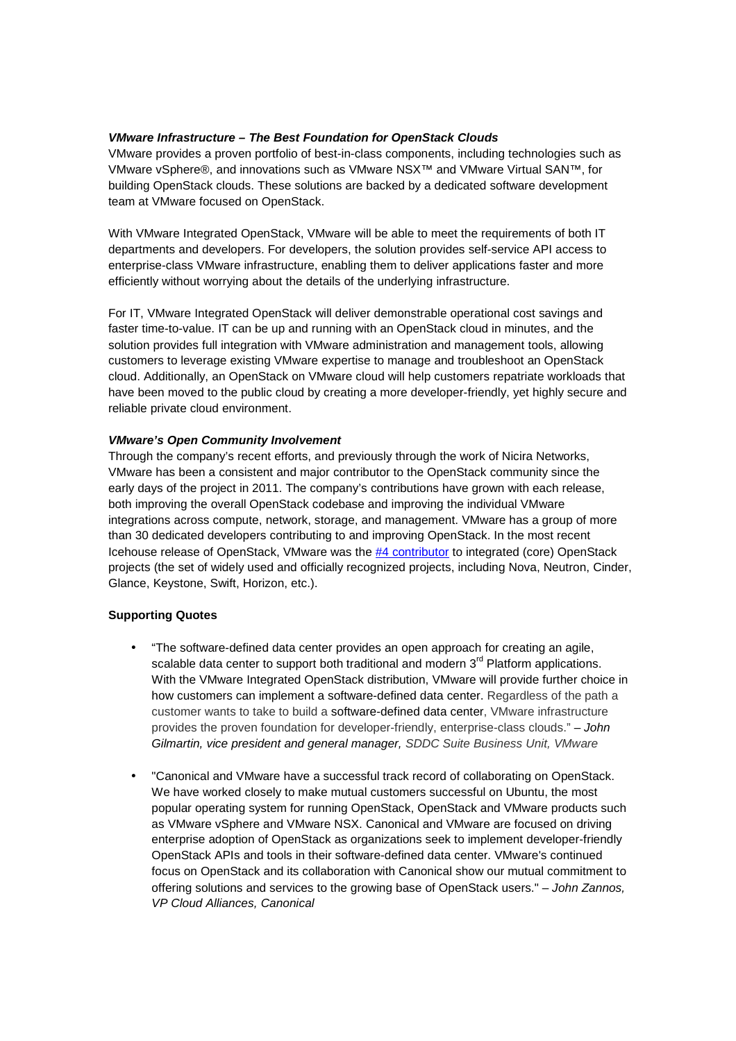## **VMware Infrastructure – The Best Foundation for OpenStack Clouds**

VMware provides a proven portfolio of best-in-class components, including technologies such as VMware vSphere®, and innovations such as VMware NSX™ and VMware Virtual SAN™, for building OpenStack clouds. These solutions are backed by a dedicated software development team at VMware focused on OpenStack.

With VMware Integrated OpenStack, VMware will be able to meet the requirements of both IT departments and developers. For developers, the solution provides self-service API access to enterprise-class VMware infrastructure, enabling them to deliver applications faster and more efficiently without worrying about the details of the underlying infrastructure.

For IT, VMware Integrated OpenStack will deliver demonstrable operational cost savings and faster time-to-value. IT can be up and running with an OpenStack cloud in minutes, and the solution provides full integration with VMware administration and management tools, allowing customers to leverage existing VMware expertise to manage and troubleshoot an OpenStack cloud. Additionally, an OpenStack on VMware cloud will help customers repatriate workloads that have been moved to the public cloud by creating a more developer-friendly, yet highly secure and reliable private cloud environment.

## **VMware's Open Community Involvement**

Through the company's recent efforts, and previously through the work of Nicira Networks, VMware has been a consistent and major contributor to the OpenStack community since the early days of the project in 2011. The company's contributions have grown with each release, both improving the overall OpenStack codebase and improving the individual VMware integrations across compute, network, storage, and management. VMware has a group of more than 30 dedicated developers contributing to and improving OpenStack. In the most recent Icehouse release of OpenStack, VMware was the #4 contributor to integrated (core) OpenStack projects (the set of widely used and officially recognized projects, including Nova, Neutron, Cinder, Glance, Keystone, Swift, Horizon, etc.).

## **Supporting Quotes**

- "The software-defined data center provides an open approach for creating an agile, scalable data center to support both traditional and modern  $3<sup>rd</sup>$  Platform applications. With the VMware Integrated OpenStack distribution, VMware will provide further choice in how customers can implement a software-defined data center. Regardless of the path a customer wants to take to build a software-defined data center, VMware infrastructure provides the proven foundation for developer-friendly, enterprise-class clouds." – John Gilmartin, vice president and general manager, SDDC Suite Business Unit, VMware
- "Canonical and VMware have a successful track record of collaborating on OpenStack. We have worked closely to make mutual customers successful on Ubuntu, the most popular operating system for running OpenStack, OpenStack and VMware products such as VMware vSphere and VMware NSX. Canonical and VMware are focused on driving enterprise adoption of OpenStack as organizations seek to implement developer-friendly OpenStack APIs and tools in their software-defined data center. VMware's continued focus on OpenStack and its collaboration with Canonical show our mutual commitment to offering solutions and services to the growing base of OpenStack users." – John Zannos, VP Cloud Alliances, Canonical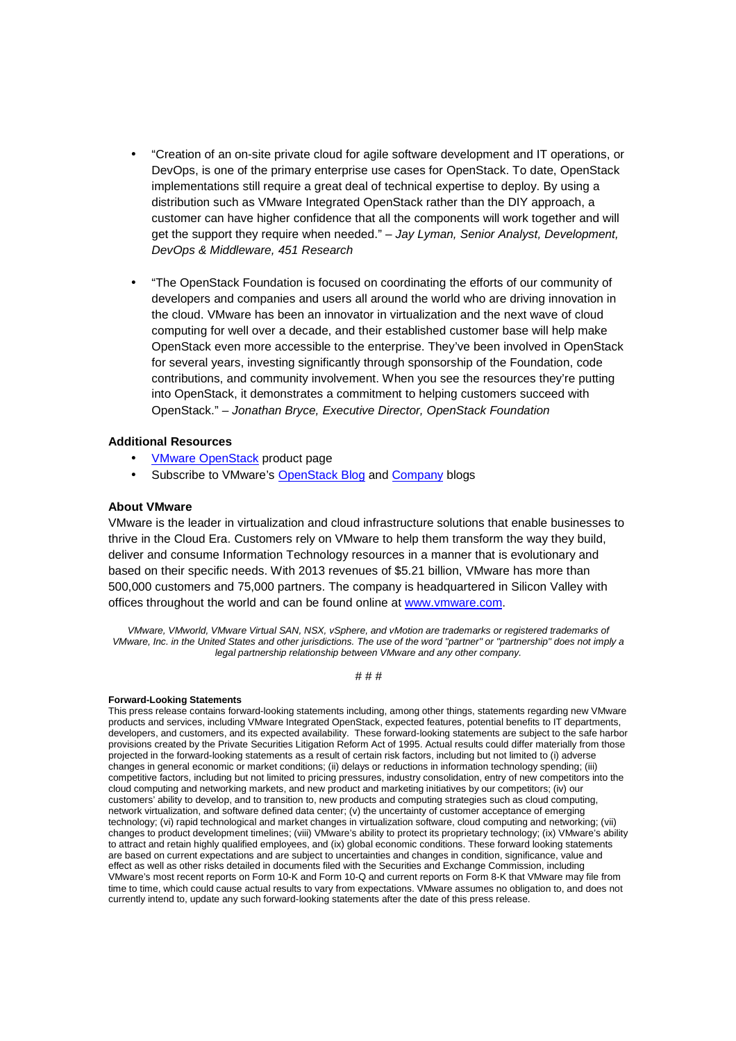- "Creation of an on-site private cloud for agile software development and IT operations, or DevOps, is one of the primary enterprise use cases for OpenStack. To date, OpenStack implementations still require a great deal of technical expertise to deploy. By using a distribution such as VMware Integrated OpenStack rather than the DIY approach, a customer can have higher confidence that all the components will work together and will get the support they require when needed." - Jay Lyman, Senior Analyst, Development, DevOps & Middleware, 451 Research
- "The OpenStack Foundation is focused on coordinating the efforts of our community of developers and companies and users all around the world who are driving innovation in the cloud. VMware has been an innovator in virtualization and the next wave of cloud computing for well over a decade, and their established customer base will help make OpenStack even more accessible to the enterprise. They've been involved in OpenStack for several years, investing significantly through sponsorship of the Foundation, code contributions, and community involvement. When you see the resources they're putting into OpenStack, it demonstrates a commitment to helping customers succeed with OpenStack." – Jonathan Bryce, Executive Director, OpenStack Foundation

#### **Additional Resources**

- VMware OpenStack product page
- Subscribe to VMware's OpenStack Blog and Company blogs

#### **About VMware**

VMware is the leader in virtualization and cloud infrastructure solutions that enable businesses to thrive in the Cloud Era. Customers rely on VMware to help them transform the way they build, deliver and consume Information Technology resources in a manner that is evolutionary and based on their specific needs. With 2013 revenues of \$5.21 billion, VMware has more than 500,000 customers and 75,000 partners. The company is headquartered in Silicon Valley with offices throughout the world and can be found online at www.vmware.com.

VMware, VMworld, VMware Virtual SAN, NSX, vSphere, and vMotion are trademarks or registered trademarks of VMware, Inc. in the United States and other jurisdictions. The use of the word "partner" or "partnership" does not imply a legal partnership relationship between VMware and any other company.

#### # # #

#### **Forward-Looking Statements**

This press release contains forward-looking statements including, among other things, statements regarding new VMware products and services, including VMware Integrated OpenStack, expected features, potential benefits to IT departments, developers, and customers, and its expected availability. These forward-looking statements are subject to the safe harbor provisions created by the Private Securities Litigation Reform Act of 1995. Actual results could differ materially from those projected in the forward-looking statements as a result of certain risk factors, including but not limited to (i) adverse changes in general economic or market conditions; (ii) delays or reductions in information technology spending; (iii) competitive factors, including but not limited to pricing pressures, industry consolidation, entry of new competitors into the cloud computing and networking markets, and new product and marketing initiatives by our competitors; (iv) our customers' ability to develop, and to transition to, new products and computing strategies such as cloud computing, network virtualization, and software defined data center; (v) the uncertainty of customer acceptance of emerging technology; (vi) rapid technological and market changes in virtualization software, cloud computing and networking; (vii) changes to product development timelines; (viii) VMware's ability to protect its proprietary technology; (ix) VMware's ability to attract and retain highly qualified employees, and (ix) global economic conditions. These forward looking statements are based on current expectations and are subject to uncertainties and changes in condition, significance, value and effect as well as other risks detailed in documents filed with the Securities and Exchange Commission, including VMware's most recent reports on Form 10-K and Form 10-Q and current reports on Form 8-K that VMware may file from time to time, which could cause actual results to vary from expectations. VMware assumes no obligation to, and does not currently intend to, update any such forward-looking statements after the date of this press release.